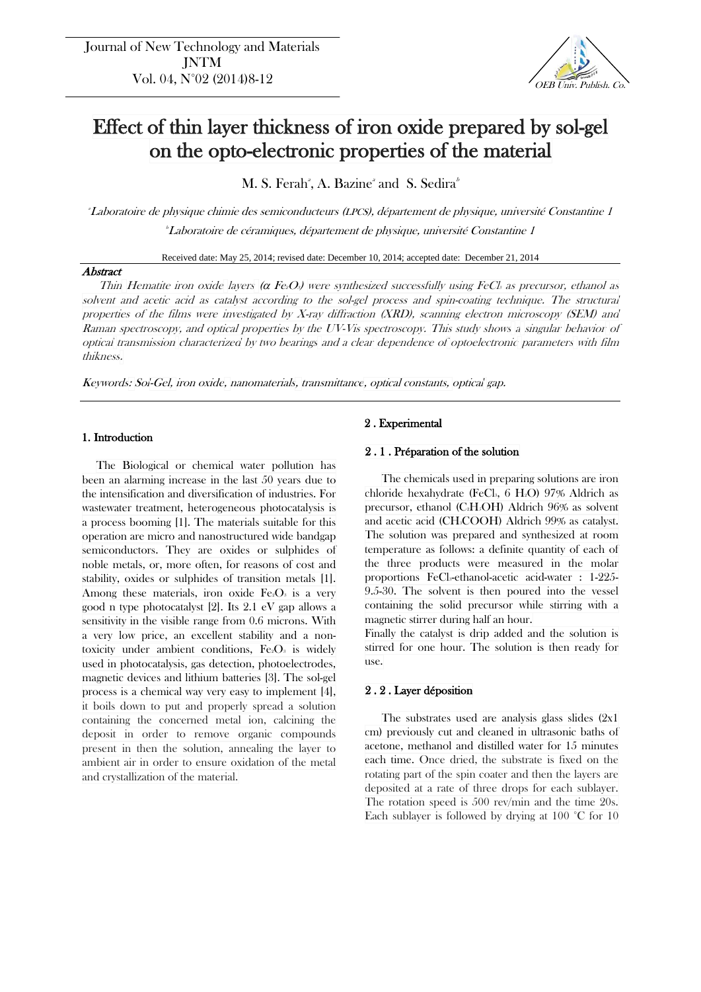

# Effect of thin layer thickness of iron oxide prepared by sol-gel on the opto-electronic properties of the material

M. S. Ferah<sup>a</sup>, A. Bazine<sup>a</sup> and S. Sedira<sup>b</sup>

<sup>a</sup>Laboratoire de physique chimie des semiconducteurs (LPCS), département de physique, université Constantine 1 *Laboratoire de céramiques, département de physique, université Constantine 1* 

Received date: May 25, 2014; revised date: December 10, 2014; accepted date: December 21, 2014

# **Abstract**

Thin Hematite iron oxide layers ( $\alpha$  Fe/O<sub>3</sub>) were synthesized successfully using FeCl<sub>3</sub> as precursor, ethanol as solvent and acetic acid as catalyst according to the sol-gel process and spin-coating technique. The structural properties of the films were investigated by X-ray diffraction (XRD), scanning electron microscopy (SEM) and Raman spectroscopy, and optical properties by the UV-Vis spectroscopy. This study shows <sup>a</sup> singular behavior of optical transmission characterized by two bearings and a clear dependence of optoelectronic parameters with film thikness.

Keywords: Sol-Gel, iron oxide, nanomaterials, transmittance, optical constants, optical gap.

# 1. Introduction

The Biological or chemical water pollution has been an alarming increase in the last 50 years due to the intensification and diversification of industries. For wastewater treatment, heterogeneous photocatalysis is a process booming [1]. The materials suitable for this operation are micro and nanostructured wide bandgap semiconductors. They are oxides or sulphides of noble metals, or, more often, for reasons of cost and stability, oxides or sulphides of transition metals [1]. Among these materials, iron oxide  $Fe<sub>2</sub>O<sub>3</sub>$  is a very good n type photocatalyst [2]. Its 2.1 eV gap allows a sensitivity in the visible range from 0.6 microns. With a very low price, an excellent stability and a nontoxicity under ambient conditions,  $Fe<sub>2</sub>O<sub>3</sub>$  is widely used in photocatalysis, gas detection, photoelectrodes, magnetic devices and lithium batteries [3]. The sol-gel process is a chemical way very easy to implement [4], it boils down to put and properly spread a solution containing the concerned metal ion, calcining the deposit in order to remove organic compounds present in then the solution, annealing the layer to ambient air in order to ensure oxidation of the metal and crystallization of the material.

# 2 . Experimental

### 2 . 1 . Préparation of the solution

The chemicals used in preparing solutions are iron chloride hexahydrate (FeCl<sub>3</sub>, 6 H<sub>2</sub>O) 97% Aldrich as precursor, ethanol (C2H5OH) Aldrich 96% as solvent and acetic acid (CH3COOH) Aldrich 99% as catalyst. The solution was prepared and synthesized at room temperature as follows: a definite quantity of each of the three products were measured in the molar proportions FeCl<sub>3</sub>-ethanol-acetic acid-water : 1-225-9.5-30. The solvent is then poured into the vessel containing the solid precursor while stirring with a magnetic stirrer during half an hour.

Finally the catalyst is drip added and the solution is stirred for one hour. The solution is then ready for use.

# 2 . 2 . Layer déposition

The substrates used are analysis glass slides  $(2x1)$ cm) previously cut and cleaned in ultrasonic baths of acetone, methanol and distilled water for 15 minutes each time. Once dried, the substrate is fixed on the rotating part of the spin coater and then the layers are deposited at a rate of three drops for each sublayer. The rotation speed is 500 rev/min and the time 20s. Each sublayer is followed by drying at 100 °C for 10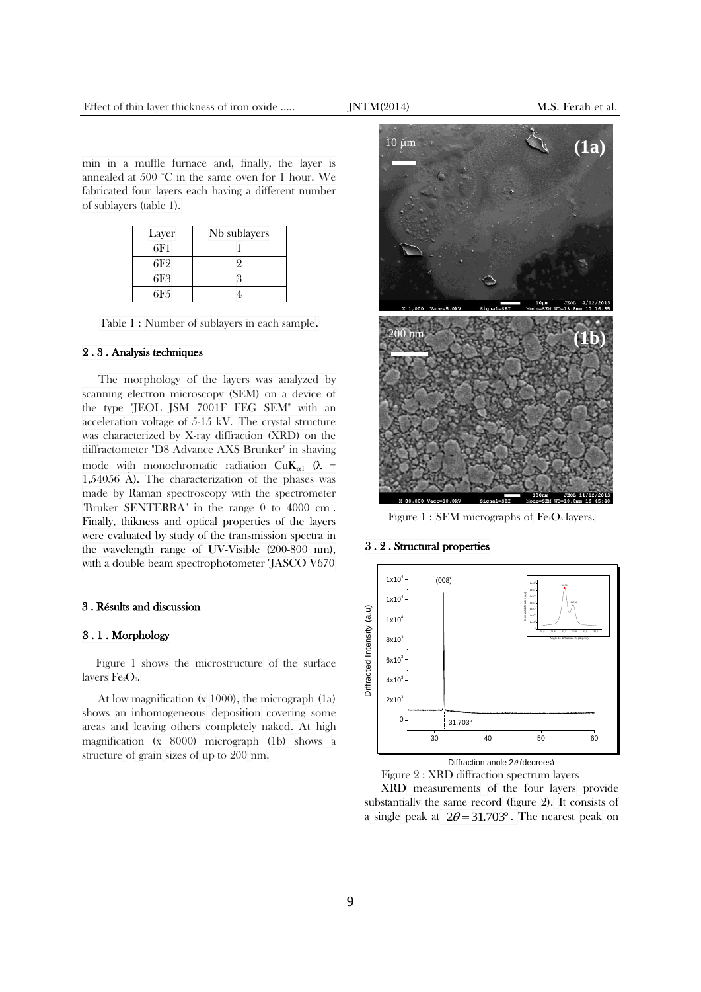min in a muffle furnace and, finally, the layer is annealed at 500 °C in the same oven for 1 hour. We fabricated four layers each having a different number of sublayers (table 1).

| Layer           | Nb sublayers |
|-----------------|--------------|
| 6F1             |              |
| 6F <sub>2</sub> |              |
| 6F3             |              |
| 6F.5            |              |

Table 1 : Number of sublayers in each sample.

#### 2 . 3 . Analysis techniques

The morphology of the layers was analyzed by scanning electron microscopy (SEM) on a device of the type "JEOL JSM 7001F FEG SEM" with an acceleration voltage of 5-15 kV. The crystal structure was characterized by X-ray diffraction (XRD) on the diffractometer "D8 Advance AXS Brunker" in shaving mode with monochromatic radiation  $CuK_{\alpha 1}$  ( $\lambda$  = 1,54056 Å). The characterization of the phases was made by Raman spectroscopy with the spectrometer "Bruker SENTERRA" in the range 0 to 4000 cm<sup>-1</sup>. Finally, thikness and optical properties of the layers were evaluated by study of the transmission spectra in the wavelength range of UV-Visible (200-800 nm), with a double beam spectrophotometer "JASCO V670

#### 3 . Résults and discussion

## 3 . 1 . Morphology

Figure 1 shows the microstructure of the surface layers Fe<sub>2</sub>O<sub>3</sub>.

At low magnification (x 1000), the micrograph (1a) shows an inhomogeneous deposition covering some areas and leaving others completely naked. At high magnification (x 8000) micrograph (1b) shows a structure of grain sizes of up to 200 nm.



Figure 1 : SEM micrographs of  $Fe<sub>2</sub>O<sub>3</sub>$  layers.

## 3 . 2 . Structural properties



Diffraction angle  $2\theta$  (degrees)

Figure 2 : XRD diffraction spectrum layers XRD measurements of the four layers provide substantially the same record (figure 2). It consists of a single peak at  $2\theta = 31.703^\circ$ . The nearest peak on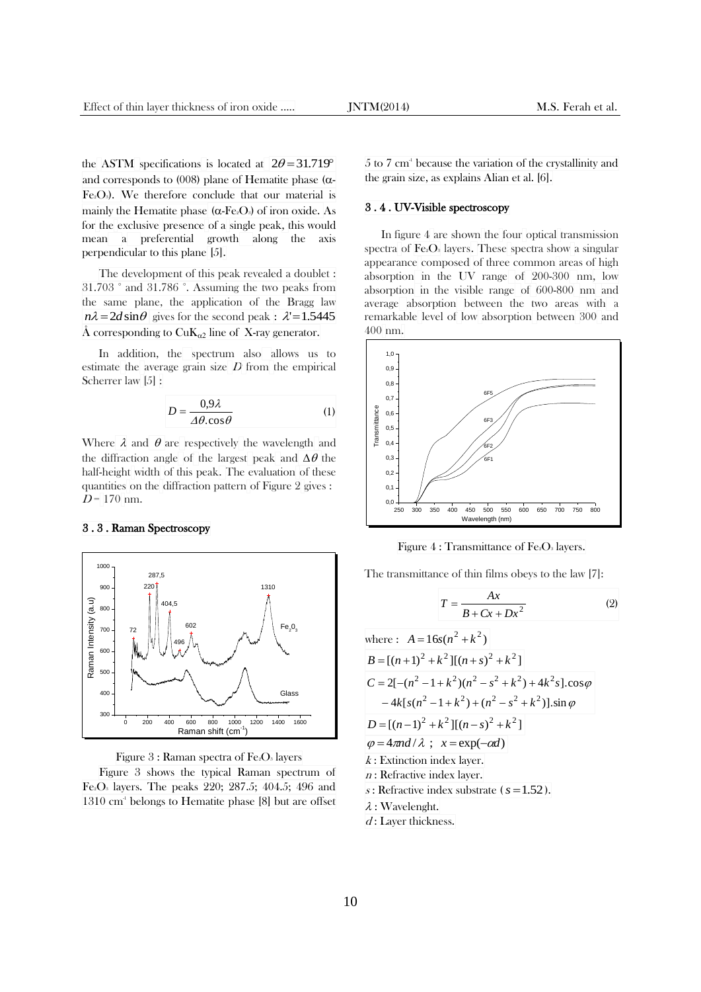the ASTM specifications is located at  $2\theta = 31.719^{\circ}$ and corresponds to (008) plane of Hematite phase ( $\alpha$ - $Fe<sub>2</sub>O<sub>3</sub>$ . We therefore conclude that our material is mainly the Hematite phase  $(\alpha$ -Fe<sub>2</sub>O<sub>3</sub>) of iron oxide. As for the exclusive presence of a single peak, this would mean a preferential growth along the axis perpendicular to this plane [5].

The development of this peak revealed a doublet : 31.703 ° and 31.786 °. Assuming the two peaks from the same plane, the application of the Bragg law  $n\lambda = 2d \sin \theta$  gives for the second peak :  $\lambda' = 1.5445$ Å corresponding to  $CuK_{\alpha2}$  line of X-ray generator.

In addition, the spectrum also allows us to estimate the average grain size  $D$  from the empirical Scherrer law [5] :

$$
D = \frac{0.9\lambda}{\Delta\theta \cdot \cos\theta} \tag{1}
$$

Where  $\lambda$  and  $\theta$  are respectively the wavelength and the diffraction angle of the largest peak and  $\Delta\theta$  the half-height width of this peak. The evaluation of these quantities on the diffraction pattern of Figure 2 gives :  $D = 170$  nm.

### 3 . 3 . Raman Spectroscopy



Figure  $3:$  Raman spectra of Fe<sub>2</sub>O<sub>3</sub> layers

Figure 3 shows the typical Raman spectrum of Fe2O<sup>3</sup> layers. The peaks 220; 287.5; 404.5; 496 and 1310 cm<sup>4</sup> belongs to Hematite phase [8] but are offset

5 to 7 cm -1 because the variation of the crystallinity and the grain size, as explains Alian et al. [6].

## 3 . 4 . UV-Visible spectroscopy

In figure 4 are shown the four optical transmission spectra of  $Fe<sub>2</sub>O<sub>3</sub>$  layers. These spectra show a singular appearance composed of three common areas of high absorption in the UV range of 200-300 nm, low absorption in the visible range of 600-800 nm and average absorption between the two areas with a remarkable level of low absorption between 300 and 400 nm.



Figure  $4:$  Transmittance of Fe<sub>2</sub>O<sub>3</sub> layers.

The transmittance of thin films obeys to the law [7]:

$$
T = \frac{Ax}{B + Cx + Dx^2} \tag{2}
$$

where: 
$$
A = 16s(n^2 + k^2)
$$
  
\n $B = [(n+1)^2 + k^2][(n+s)^2 + k^2]$   
\n $C = 2[-(n^2 - 1 + k^2)(n^2 - s^2 + k^2) + 4k^2s]$ .cos $\varphi$   
\n $-4k[s(n^2 - 1 + k^2) + (n^2 - s^2 + k^2)] \cdot \sin \varphi$   
\n $D = [(n-1)^2 + k^2][(n-s)^2 + k^2]$   
\n $\varphi = 4\pi nd/\lambda$ ;  $x = \exp(-\alpha d)$   
\n*k*: Extinction index layer.  
\n*n*: Refractive index cluster.  
\n*s*: Refractive index substrate (*s* = 1.52).  
\n*\lambda*: Wavelength.  
\n*d*: Layer thickness.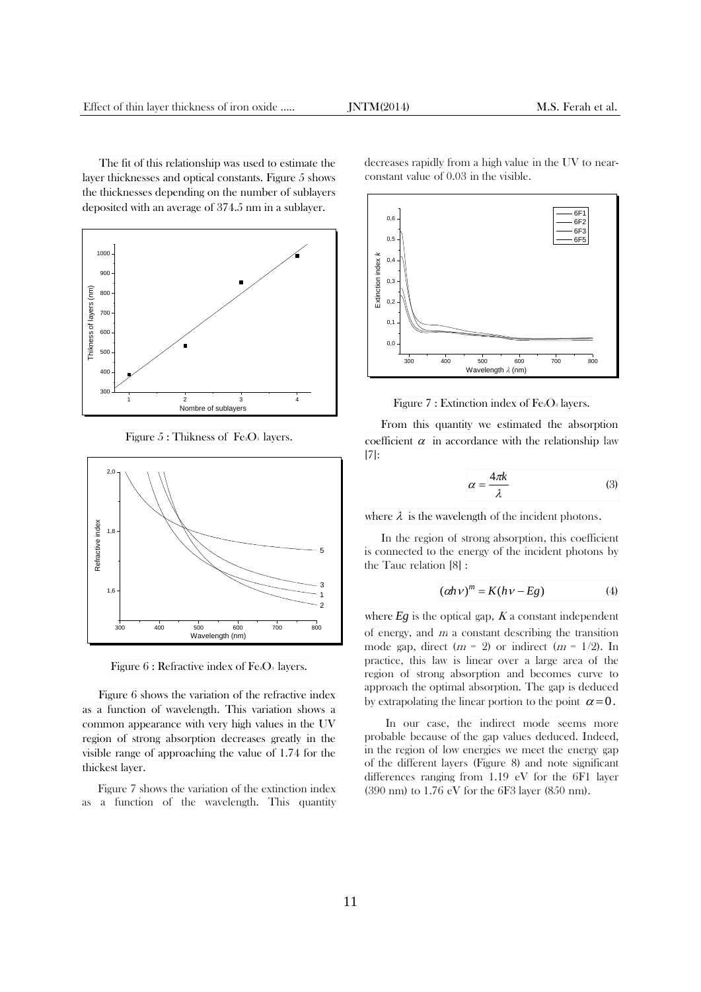The fit of this relationship was used to estimate the layer thicknesses and optical constants. Figure 5 shows the thicknesses depending on the number of sublayers deposited with an average of 374.5 nm in a sublayer.



Figure  $5:$  Thikness of Fe<sub>2</sub>O<sub>3</sub> layers.



Figure  $6$ : Refractive index of Fe<sub>2</sub>O<sub>3</sub> layers.

Figure 6 shows the variation of the refractive index as a function of wavelength. This variation shows a common appearance with very high values in the UV region of strong absorption decreases greatly in the visible range of approaching the value of 1.74 for the thickest layer.

Figure 7 shows the variation of the extinction index as a function of the wavelength. This quantity decreases rapidly from a high value in the UV to nearconstant value of 0.03 in the visible.



Figure 7 : Extinction index of Fe<sub>2</sub>O<sub>3</sub> layers.

From this quantity we estimated the absorption coefficient  $\alpha$  in accordance with the relationship law [7]:

$$
\alpha = \frac{4\pi k}{\lambda} \tag{3}
$$

where  $\lambda$  is the wavelength of the incident photons.

In the region of strong absorption, this coefficient <sup>5</sup> is connected to the energy of the incident photons by the Tauc relation [8] :

$$
(\alpha h \nu)^m = K(h \nu - Eg) \tag{4}
$$

where  $Eg$  is the optical gap,  $K$  a constant independent of energy, and  $m$  a constant describing the transition mode gap, direct  $(m = 2)$  or indirect  $(m = 1/2)$ . In practice, this law is linear over a large area of the region of strong absorption and becomes curve to approach the optimal absorption. The gap is deduced by extrapolating the linear portion to the point  $\alpha = 0$ .

In our case, the indirect mode seems more probable because of the gap values deduced. Indeed, in the region of low energies we meet the energy gap of the different layers (Figure 8) and note significant differences ranging from 1.19 eV for the 6F1 layer (390 nm) to 1.76 eV for the 6F3 layer (850 nm).